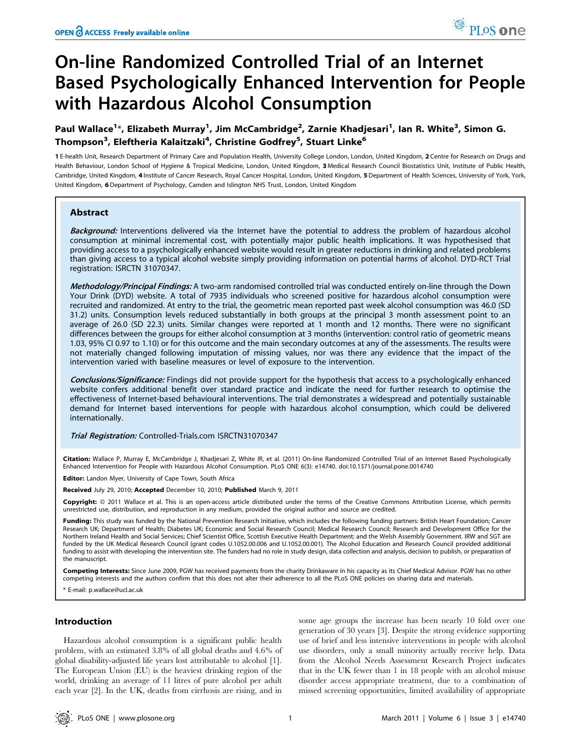# On-line Randomized Controlled Trial of an Internet Based Psychologically Enhanced Intervention for People with Hazardous Alcohol Consumption

# Paul Wallace<sup>1</sup>\*, Elizabeth Murray<sup>1</sup>, Jim McCambridge<sup>2</sup>, Zarnie Khadjesari<sup>1</sup>, Ian R. White<sup>3</sup>, Simon G. Thompson<sup>3</sup>, Eleftheria Kalaitzaki<sup>4</sup>, Christine Godfrey<sup>5</sup>, Stuart Linke<sup>6</sup>

1 E-health Unit, Research Department of Primary Care and Population Health, University College London, London, United Kingdom, 2 Centre for Research on Drugs and Health Behaviour, London School of Hygiene & Tropical Medicine, London, United Kingdom, 3 Medical Research Council Biostatistics Unit, Institute of Public Health, Cambridge, United Kingdom, 4 Institute of Cancer Research, Royal Cancer Hospital, London, United Kingdom, 5 Department of Health Sciences, University of York, York, United Kingdom, 6 Department of Psychology, Camden and Islington NHS Trust, London, United Kingdom

# Abstract

Background: Interventions delivered via the Internet have the potential to address the problem of hazardous alcohol consumption at minimal incremental cost, with potentially major public health implications. It was hypothesised that providing access to a psychologically enhanced website would result in greater reductions in drinking and related problems than giving access to a typical alcohol website simply providing information on potential harms of alcohol. DYD-RCT Trial registration: ISRCTN 31070347.

Methodology/Principal Findings: A two-arm randomised controlled trial was conducted entirely on-line through the Down Your Drink (DYD) website. A total of 7935 individuals who screened positive for hazardous alcohol consumption were recruited and randomized. At entry to the trial, the geometric mean reported past week alcohol consumption was 46.0 (SD 31.2) units. Consumption levels reduced substantially in both groups at the principal 3 month assessment point to an average of 26.0 (SD 22.3) units. Similar changes were reported at 1 month and 12 months. There were no significant differences between the groups for either alcohol consumption at 3 months (intervention: control ratio of geometric means 1.03, 95% CI 0.97 to 1.10) or for this outcome and the main secondary outcomes at any of the assessments. The results were not materially changed following imputation of missing values, nor was there any evidence that the impact of the intervention varied with baseline measures or level of exposure to the intervention.

Conclusions/Significance: Findings did not provide support for the hypothesis that access to a psychologically enhanced website confers additional benefit over standard practice and indicate the need for further research to optimise the effectiveness of Internet-based behavioural interventions. The trial demonstrates a widespread and potentially sustainable demand for Internet based interventions for people with hazardous alcohol consumption, which could be delivered internationally.

# Trial Registration: Controlled-Trials.com ISRCTN31070347

Citation: Wallace P, Murray E, McCambridge J, Khadjesari Z, White IR, et al. (2011) On-line Randomized Controlled Trial of an Internet Based Psychologically Enhanced Intervention for People with Hazardous Alcohol Consumption. PLoS ONE 6(3): e14740. doi:10.1371/journal.pone.0014740

**Editor:** Landon Myer, University of Cape Town, South Africa

Received July 29, 2010; Accepted December 10, 2010; Published March 9, 2011

Copyright: © 2011 Wallace et al. This is an open-access article distributed under the terms of the Creative Commons Attribution License, which permits unrestricted use, distribution, and reproduction in any medium, provided the original author and source are credited.

Funding: This study was funded by the National Prevention Research Initiative, which includes the following funding partners: British Heart Foundation; Cancer Research UK; Department of Health; Diabetes UK; Economic and Social Research Council; Medical Research Council; Research and Development Office for the Northern Ireland Health and Social Services; Chief Scientist Office, Scottish Executive Health Department; and the Welsh Assembly Government. IRW and SGT are funded by the UK Medical Research Council (grant codes U.1052.00.006 and U.1052.00.001). The Alcohol Education and Research Council provided additional funding to assist with developing the intervention site. The funders had no role in study design, data collection and analysis, decision to publish, or preparation of the manuscript.

Competing Interests: Since June 2009, PGW has received payments from the charity Drinkaware in his capacity as its Chief Medical Advisor. PGW has no other competing interests and the authors confirm that this does not alter their adherence to all the PLoS ONE policies on sharing data and materials.

E-mail: p.wallace@ucl.ac.uk

#### Introduction

Hazardous alcohol consumption is a significant public health problem, with an estimated 3.8% of all global deaths and 4.6% of global disability-adjusted life years lost attributable to alcohol [1]. The European Union (EU) is the heaviest drinking region of the world, drinking an average of 11 litres of pure alcohol per adult each year [2]. In the UK, deaths from cirrhosis are rising, and in

some age groups the increase has been nearly 10 fold over one generation of 30 years [3]. Despite the strong evidence supporting use of brief and less intensive interventions in people with alcohol use disorders, only a small minority actually receive help. Data from the Alcohol Needs Assessment Research Project indicates that in the UK fewer than 1 in 18 people with an alcohol misuse disorder access appropriate treatment, due to a combination of missed screening opportunities, limited availability of appropriate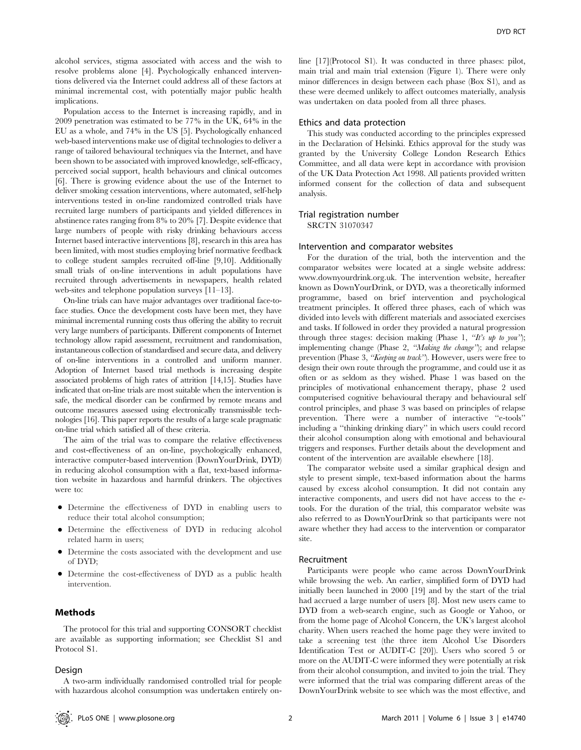alcohol services, stigma associated with access and the wish to resolve problems alone [4]. Psychologically enhanced interventions delivered via the Internet could address all of these factors at minimal incremental cost, with potentially major public health implications.

Population access to the Internet is increasing rapidly, and in 2009 penetration was estimated to be 77% in the UK, 64% in the EU as a whole, and 74% in the US [5]. Psychologically enhanced web-based interventions make use of digital technologies to deliver a range of tailored behavioural techniques via the Internet, and have been shown to be associated with improved knowledge, self-efficacy, perceived social support, health behaviours and clinical outcomes [6]. There is growing evidence about the use of the Internet to deliver smoking cessation interventions, where automated, self-help interventions tested in on-line randomized controlled trials have recruited large numbers of participants and yielded differences in abstinence rates ranging from 8% to 20% [7]. Despite evidence that large numbers of people with risky drinking behaviours access Internet based interactive interventions [8], research in this area has been limited, with most studies employing brief normative feedback to college student samples recruited off-line [9,10]. Additionally small trials of on-line interventions in adult populations have recruited through advertisements in newspapers, health related web-sites and telephone population surveys [11–13].

On-line trials can have major advantages over traditional face-toface studies. Once the development costs have been met, they have minimal incremental running costs thus offering the ability to recruit very large numbers of participants. Different components of Internet technology allow rapid assessment, recruitment and randomisation, instantaneous collection of standardised and secure data, and delivery of on-line interventions in a controlled and uniform manner. Adoption of Internet based trial methods is increasing despite associated problems of high rates of attrition [14,15]. Studies have indicated that on-line trials are most suitable when the intervention is safe, the medical disorder can be confirmed by remote means and outcome measures assessed using electronically transmissible technologies [16]. This paper reports the results of a large scale pragmatic on-line trial which satisfied all of these criteria.

The aim of the trial was to compare the relative effectiveness and cost-effectiveness of an on-line, psychologically enhanced, interactive computer-based intervention (DownYourDrink, DYD) in reducing alcohol consumption with a flat, text-based information website in hazardous and harmful drinkers. The objectives were to:

- N Determine the effectiveness of DYD in enabling users to reduce their total alcohol consumption;
- Determine the effectiveness of DYD in reducing alcohol related harm in users;
- N Determine the costs associated with the development and use of DYD;
- Determine the cost-effectiveness of DYD as a public health intervention.

# Methods

The protocol for this trial and supporting CONSORT checklist are available as supporting information; see Checklist S1 and Protocol S1.

#### Design

line [17](Protocol S1). It was conducted in three phases: pilot, main trial and main trial extension (Figure 1). There were only minor differences in design between each phase (Box S1), and as these were deemed unlikely to affect outcomes materially, analysis was undertaken on data pooled from all three phases.

# Ethics and data protection

This study was conducted according to the principles expressed in the Declaration of Helsinki. Ethics approval for the study was granted by the University College London Research Ethics Committee, and all data were kept in accordance with provision of the UK Data Protection Act 1998. All patients provided written informed consent for the collection of data and subsequent analysis.

#### Trial registration number

SRCTN 31070347

#### Intervention and comparator websites

For the duration of the trial, both the intervention and the comparator websites were located at a single website address: www.downyourdrink.org.uk. The intervention website, hereafter known as DownYourDrink, or DYD, was a theoretically informed programme, based on brief intervention and psychological treatment principles. It offered three phases, each of which was divided into levels with different materials and associated exercises and tasks. If followed in order they provided a natural progression through three stages: decision making (Phase 1, "It's up to you"); implementing change (Phase 2, "Making the change"); and relapse prevention (Phase 3, "Keeping on track"). However, users were free to design their own route through the programme, and could use it as often or as seldom as they wished. Phase 1 was based on the principles of motivational enhancement therapy, phase 2 used computerised cognitive behavioural therapy and behavioural self control principles, and phase 3 was based on principles of relapse prevention. There were a number of interactive ''e-tools'' including a ''thinking drinking diary'' in which users could record their alcohol consumption along with emotional and behavioural triggers and responses. Further details about the development and content of the intervention are available elsewhere [18].

The comparator website used a similar graphical design and style to present simple, text-based information about the harms caused by excess alcohol consumption. It did not contain any interactive components, and users did not have access to the etools. For the duration of the trial, this comparator website was also referred to as DownYourDrink so that participants were not aware whether they had access to the intervention or comparator site.

#### Recruitment

Participants were people who came across DownYourDrink while browsing the web. An earlier, simplified form of DYD had initially been launched in 2000 [19] and by the start of the trial had accrued a large number of users [8]. Most new users came to DYD from a web-search engine, such as Google or Yahoo, or from the home page of Alcohol Concern, the UK's largest alcohol charity. When users reached the home page they were invited to take a screening test (the three item Alcohol Use Disorders Identification Test or AUDIT-C [20]). Users who scored 5 or more on the AUDIT-C were informed they were potentially at risk from their alcohol consumption, and invited to join the trial. They were informed that the trial was comparing different areas of the DownYourDrink website to see which was the most effective, and

A two-arm individually randomised controlled trial for people with hazardous alcohol consumption was undertaken entirely on-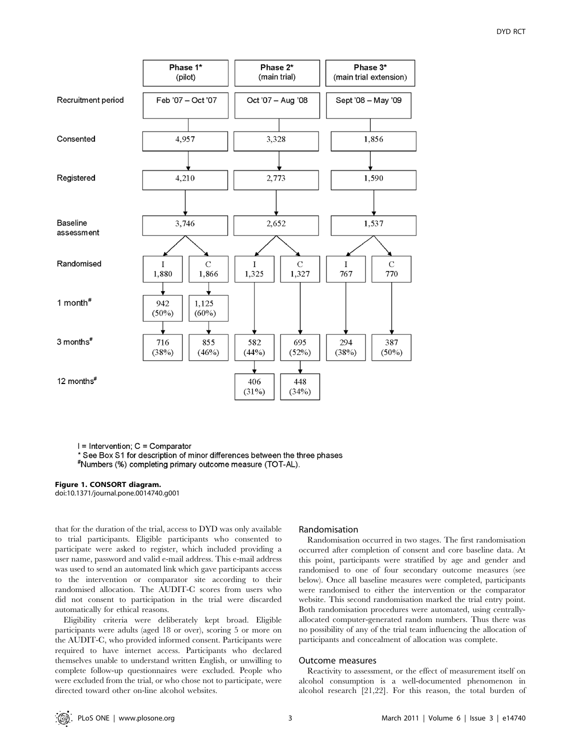

I = Intervention; C = Comparator

\* See Box S1 for description of minor differences between the three phases

\*Numbers (%) completing primary outcome measure (TOT-AL).

#### Figure 1. CONSORT diagram.

doi:10.1371/journal.pone.0014740.g001

that for the duration of the trial, access to DYD was only available to trial participants. Eligible participants who consented to participate were asked to register, which included providing a user name, password and valid e-mail address. This e-mail address was used to send an automated link which gave participants access to the intervention or comparator site according to their randomised allocation. The AUDIT-C scores from users who did not consent to participation in the trial were discarded automatically for ethical reasons.

Eligibility criteria were deliberately kept broad. Eligible participants were adults (aged 18 or over), scoring 5 or more on the AUDIT-C, who provided informed consent. Participants were required to have internet access. Participants who declared themselves unable to understand written English, or unwilling to complete follow-up questionnaires were excluded. People who were excluded from the trial, or who chose not to participate, were directed toward other on-line alcohol websites.

# Randomisation

Randomisation occurred in two stages. The first randomisation occurred after completion of consent and core baseline data. At this point, participants were stratified by age and gender and randomised to one of four secondary outcome measures (see below). Once all baseline measures were completed, participants were randomised to either the intervention or the comparator website. This second randomisation marked the trial entry point. Both randomisation procedures were automated, using centrallyallocated computer-generated random numbers. Thus there was no possibility of any of the trial team influencing the allocation of participants and concealment of allocation was complete.

#### Outcome measures

Reactivity to assessment, or the effect of measurement itself on alcohol consumption is a well-documented phenomenon in alcohol research [21,22]. For this reason, the total burden of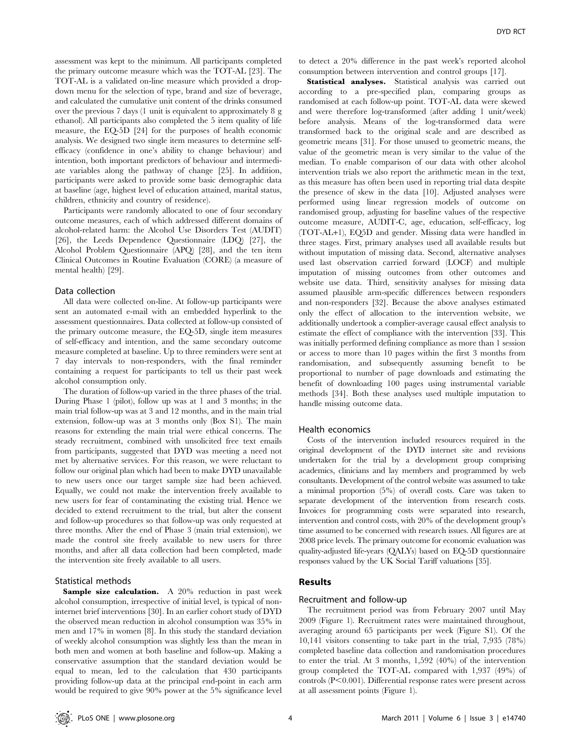DYD RCT

assessment was kept to the minimum. All participants completed the primary outcome measure which was the TOT-AL [23]. The TOT-AL is a validated on-line measure which provided a dropdown menu for the selection of type, brand and size of beverage, and calculated the cumulative unit content of the drinks consumed over the previous 7 days (1 unit is equivalent to approximately 8 g ethanol). All participants also completed the 5 item quality of life measure, the EQ-5D [24] for the purposes of health economic analysis. We designed two single item measures to determine selfefficacy (confidence in one's ability to change behaviour) and intention, both important predictors of behaviour and intermediate variables along the pathway of change [25]. In addition, participants were asked to provide some basic demographic data at baseline (age, highest level of education attained, marital status, children, ethnicity and country of residence).

Participants were randomly allocated to one of four secondary outcome measures, each of which addressed different domains of alcohol-related harm: the Alcohol Use Disorders Test (AUDIT) [26], the Leeds Dependence Questionnaire (LDQ) [27], the Alcohol Problem Questionnaire (APQ) [28], and the ten item Clinical Outcomes in Routine Evaluation (CORE) (a measure of mental health) [29].

# Data collection

All data were collected on-line. At follow-up participants were sent an automated e-mail with an embedded hyperlink to the assessment questionnaires. Data collected at follow-up consisted of the primary outcome measure, the EQ-5D, single item measures of self-efficacy and intention, and the same secondary outcome measure completed at baseline. Up to three reminders were sent at 7 day intervals to non-responders, with the final reminder containing a request for participants to tell us their past week alcohol consumption only.

The duration of follow-up varied in the three phases of the trial. During Phase 1 (pilot), follow up was at 1 and 3 months; in the main trial follow-up was at 3 and 12 months, and in the main trial extension, follow-up was at 3 months only (Box S1). The main reasons for extending the main trial were ethical concerns. The steady recruitment, combined with unsolicited free text emails from participants, suggested that DYD was meeting a need not met by alternative services. For this reason, we were reluctant to follow our original plan which had been to make DYD unavailable to new users once our target sample size had been achieved. Equally, we could not make the intervention freely available to new users for fear of contaminating the existing trial. Hence we decided to extend recruitment to the trial, but alter the consent and follow-up procedures so that follow-up was only requested at three months. After the end of Phase 3 (main trial extension), we made the control site freely available to new users for three months, and after all data collection had been completed, made the intervention site freely available to all users.

# Statistical methods

Sample size calculation. A 20% reduction in past week alcohol consumption, irrespective of initial level, is typical of noninternet brief interventions [30]. In an earlier cohort study of DYD the observed mean reduction in alcohol consumption was 35% in men and 17% in women [8]. In this study the standard deviation of weekly alcohol consumption was slightly less than the mean in both men and women at both baseline and follow-up. Making a conservative assumption that the standard deviation would be equal to mean, led to the calculation that 430 participants providing follow-up data at the principal end-point in each arm would be required to give 90% power at the 5% significance level

to detect a 20% difference in the past week's reported alcohol consumption between intervention and control groups [17].

Statistical analyses. Statistical analysis was carried out according to a pre-specified plan, comparing groups as randomised at each follow-up point. TOT-AL data were skewed and were therefore log-transformed (after adding 1 unit/week) before analysis. Means of the log-transformed data were transformed back to the original scale and are described as geometric means [31]. For those unused to geometric means, the value of the geometric mean is very similar to the value of the median. To enable comparison of our data with other alcohol intervention trials we also report the arithmetic mean in the text, as this measure has often been used in reporting trial data despite the presence of skew in the data [10]. Adjusted analyses were performed using linear regression models of outcome on randomised group, adjusting for baseline values of the respective outcome measure, AUDIT-C, age, education, self-efficacy, log (TOT-AL+1), EQ5D and gender. Missing data were handled in three stages. First, primary analyses used all available results but without imputation of missing data. Second, alternative analyses used last observation carried forward (LOCF) and multiple imputation of missing outcomes from other outcomes and website use data. Third, sensitivity analyses for missing data assumed plausible arm-specific differences between responders and non-responders [32]. Because the above analyses estimated only the effect of allocation to the intervention website, we additionally undertook a complier-average causal effect analysis to estimate the effect of compliance with the intervention [33]. This was initially performed defining compliance as more than 1 session or access to more than 10 pages within the first 3 months from randomisation, and subsequently assuming benefit to be proportional to number of page downloads and estimating the benefit of downloading 100 pages using instrumental variable methods [34]. Both these analyses used multiple imputation to handle missing outcome data.

# Health economics

Costs of the intervention included resources required in the original development of the DYD internet site and revisions undertaken for the trial by a development group comprising academics, clinicians and lay members and programmed by web consultants. Development of the control website was assumed to take a minimal proportion (5%) of overall costs. Care was taken to separate development of the intervention from research costs. Invoices for programming costs were separated into research, intervention and control costs, with 20% of the development group's time assumed to be concerned with research issues. All figures are at 2008 price levels. The primary outcome for economic evaluation was quality-adjusted life-years (QALYs) based on EQ-5D questionnaire responses valued by the UK Social Tariff valuations [35].

# Results

# Recruitment and follow-up

The recruitment period was from February 2007 until May 2009 (Figure 1). Recruitment rates were maintained throughout, averaging around 65 participants per week (Figure S1). Of the 10,141 visitors consenting to take part in the trial, 7,935 (78%) completed baseline data collection and randomisation procedures to enter the trial. At 3 months, 1,592 (40%) of the intervention group completed the TOT-AL compared with 1,937 (49%) of controls  $(P<0.001)$ . Differential response rates were present across at all assessment points (Figure 1).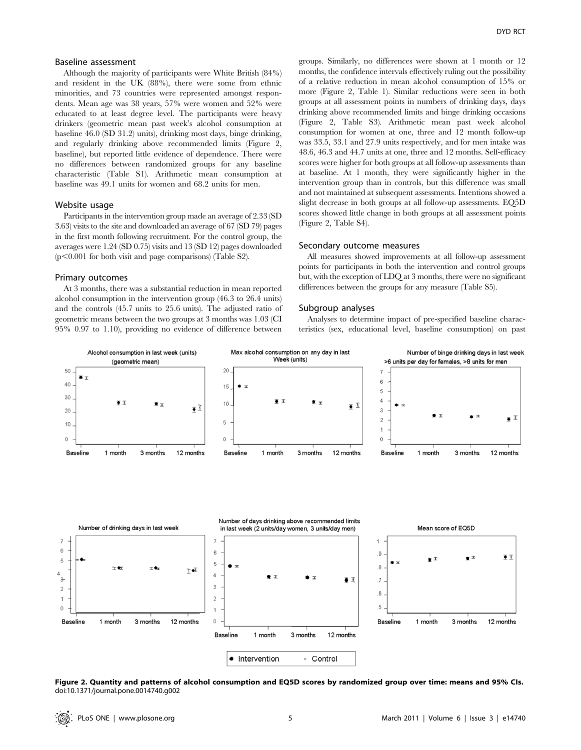#### Baseline assessment

Although the majority of participants were White British (84%) and resident in the UK (88%), there were some from ethnic minorities, and 73 countries were represented amongst respondents. Mean age was 38 years, 57% were women and 52% were educated to at least degree level. The participants were heavy drinkers (geometric mean past week's alcohol consumption at baseline 46.0 (SD 31.2) units), drinking most days, binge drinking, and regularly drinking above recommended limits (Figure 2, baseline), but reported little evidence of dependence. There were no differences between randomized groups for any baseline characteristic (Table S1). Arithmetic mean consumption at baseline was 49.1 units for women and 68.2 units for men.

# Website usage

Participants in the intervention group made an average of 2.33 (SD 3.63) visits to the site and downloaded an average of 67 (SD 79) pages in the first month following recruitment. For the control group, the averages were 1.24 (SD 0.75) visits and 13 (SD 12) pages downloaded  $(p<0.001$  for both visit and page comparisons) (Table S2).

# Primary outcomes

At 3 months, there was a substantial reduction in mean reported alcohol consumption in the intervention group (46.3 to 26.4 units) and the controls (45.7 units to 25.6 units). The adjusted ratio of geometric means between the two groups at 3 months was 1.03 (CI 95% 0.97 to 1.10), providing no evidence of difference between groups. Similarly, no differences were shown at 1 month or 12 months, the confidence intervals effectively ruling out the possibility of a relative reduction in mean alcohol consumption of 15% or more (Figure 2, Table 1). Similar reductions were seen in both groups at all assessment points in numbers of drinking days, days drinking above recommended limits and binge drinking occasions (Figure 2, Table S3). Arithmetic mean past week alcohol consumption for women at one, three and 12 month follow-up was 33.5, 33.1 and 27.9 units respectively, and for men intake was 48.6, 46.3 and 44.7 units at one, three and 12 months. Self-efficacy scores were higher for both groups at all follow-up assessments than at baseline. At 1 month, they were significantly higher in the intervention group than in controls, but this difference was small and not maintained at subsequent assessments. Intentions showed a slight decrease in both groups at all follow-up assessments. EQ5D scores showed little change in both groups at all assessment points (Figure 2, Table S4).

#### Secondary outcome measures

All measures showed improvements at all follow-up assessment points for participants in both the intervention and control groups but, with the exception of LDQ at 3 months, there were no significant differences between the groups for any measure (Table S5).

#### Subgroup analyses

Analyses to determine impact of pre-specified baseline characteristics (sex, educational level, baseline consumption) on past



Figure 2. Quantity and patterns of alcohol consumption and EQ5D scores by randomized group over time: means and 95% CIs. doi:10.1371/journal.pone.0014740.g002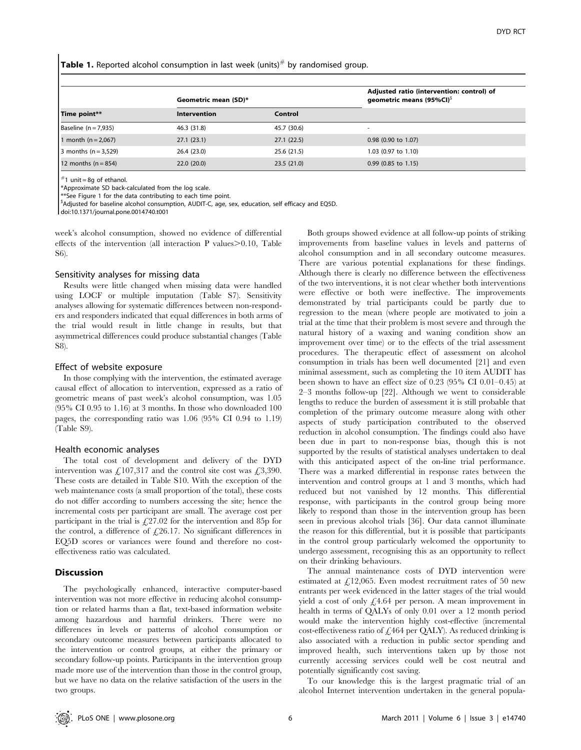**Table 1.** Reported alcohol consumption in last week (units) $#$  by randomised group.

| Time point**             | Geometric mean (SD)* |             | Adjusted ratio (intervention: control) of<br>geometric means (95%CI) $\delta$ |
|--------------------------|----------------------|-------------|-------------------------------------------------------------------------------|
|                          | <b>Intervention</b>  | Control     |                                                                               |
| Baseline $(n = 7,935)$   | 46.3 (31.8)          | 45.7 (30.6) | $\overline{\phantom{a}}$                                                      |
| 1 month ( $n = 2,067$ )  | 27.1(23.1)           | 27.1(22.5)  | 0.98 (0.90 to 1.07)                                                           |
| 3 months ( $n = 3,529$ ) | 26.4 (23.0)          | 25.6 (21.5) | 1.03 (0.97 to 1.10)                                                           |
| 12 months $(n = 854)$    | 22.0(20.0)           | 23.5(21.0)  | $0.99$ (0.85 to 1.15)                                                         |

 $#1$  unit = 8q of ethanol.

\*Approximate SD back-calculated from the log scale.

\*\*See Figure 1 for the data contributing to each time point.

\$ Adjusted for baseline alcohol consumption, AUDIT-C, age, sex, education, self efficacy and EQ5D.

doi:10.1371/journal.pone.0014740.t001

week's alcohol consumption, showed no evidence of differential effects of the intervention (all interaction P values $> 0.10$ , Table S6).

#### Sensitivity analyses for missing data

Results were little changed when missing data were handled using LOCF or multiple imputation (Table S7). Sensitivity analyses allowing for systematic differences between non-responders and responders indicated that equal differences in both arms of the trial would result in little change in results, but that asymmetrical differences could produce substantial changes (Table S8).

#### Effect of website exposure

In those complying with the intervention, the estimated average causal effect of allocation to intervention, expressed as a ratio of geometric means of past week's alcohol consumption, was 1.05 (95% CI 0.95 to 1.16) at 3 months. In those who downloaded 100 pages, the corresponding ratio was 1.06 (95% CI 0.94 to 1.19) (Table S9).

## Health economic analyses

The total cost of development and delivery of the DYD intervention was £107,317 and the control site cost was £3,390. These costs are detailed in Table S10. With the exception of the web maintenance costs (a small proportion of the total), these costs do not differ according to numbers accessing the site; hence the incremental costs per participant are small. The average cost per participant in the trial is  $\text{\textsterling}27.02$  for the intervention and 85p for the control, a difference of  $\text{\textsterling}26.17$ . No significant differences in EQ5D scores or variances were found and therefore no costeffectiveness ratio was calculated.

# Discussion

The psychologically enhanced, interactive computer-based intervention was not more effective in reducing alcohol consumption or related harms than a flat, text-based information website among hazardous and harmful drinkers. There were no differences in levels or patterns of alcohol consumption or secondary outcome measures between participants allocated to the intervention or control groups, at either the primary or secondary follow-up points. Participants in the intervention group made more use of the intervention than those in the control group, but we have no data on the relative satisfaction of the users in the two groups.

Both groups showed evidence at all follow-up points of striking improvements from baseline values in levels and patterns of alcohol consumption and in all secondary outcome measures. There are various potential explanations for these findings. Although there is clearly no difference between the effectiveness of the two interventions, it is not clear whether both interventions were effective or both were ineffective. The improvements demonstrated by trial participants could be partly due to regression to the mean (where people are motivated to join a trial at the time that their problem is most severe and through the natural history of a waxing and waning condition show an improvement over time) or to the effects of the trial assessment procedures. The therapeutic effect of assessment on alcohol consumption in trials has been well documented [21] and even minimal assessment, such as completing the 10 item AUDIT has been shown to have an effect size of 0.23 (95% CI 0.01–0.45) at 2–3 months follow-up [22]. Although we went to considerable lengths to reduce the burden of assessment it is still probable that completion of the primary outcome measure along with other aspects of study participation contributed to the observed reduction in alcohol consumption. The findings could also have been due in part to non-response bias, though this is not supported by the results of statistical analyses undertaken to deal with this anticipated aspect of the on-line trial performance. There was a marked differential in response rates between the intervention and control groups at 1 and 3 months, which had reduced but not vanished by 12 months. This differential response, with participants in the control group being more likely to respond than those in the intervention group has been seen in previous alcohol trials [36]. Our data cannot illuminate the reason for this differential, but it is possible that participants in the control group particularly welcomed the opportunity to undergo assessment, recognising this as an opportunity to reflect on their drinking behaviours.

The annual maintenance costs of DYD intervention were estimated at  $\angle$ 12,065. Even modest recruitment rates of 50 new entrants per week evidenced in the latter stages of the trial would yield a cost of only  $f<sub>1</sub>4.64$  per person. A mean improvement in health in terms of QALYs of only 0.01 over a 12 month period would make the intervention highly cost-effective (incremental cost-effectiveness ratio of  $£464$  per QALY). As reduced drinking is also associated with a reduction in public sector spending and improved health, such interventions taken up by those not currently accessing services could well be cost neutral and potentially significantly cost saving.

To our knowledge this is the largest pragmatic trial of an alcohol Internet intervention undertaken in the general popula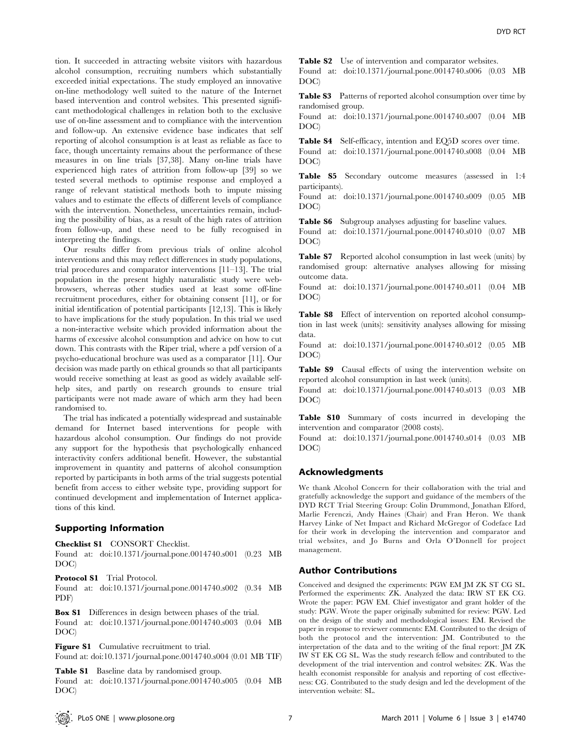tion. It succeeded in attracting website visitors with hazardous alcohol consumption, recruiting numbers which substantially exceeded initial expectations. The study employed an innovative on-line methodology well suited to the nature of the Internet based intervention and control websites. This presented significant methodological challenges in relation both to the exclusive use of on-line assessment and to compliance with the intervention and follow-up. An extensive evidence base indicates that self reporting of alcohol consumption is at least as reliable as face to face, though uncertainty remains about the performance of these measures in on line trials [37,38]. Many on-line trials have experienced high rates of attrition from follow-up [39] so we tested several methods to optimise response and employed a range of relevant statistical methods both to impute missing values and to estimate the effects of different levels of compliance with the intervention. Nonetheless, uncertainties remain, including the possibility of bias, as a result of the high rates of attrition from follow-up, and these need to be fully recognised in interpreting the findings.

Our results differ from previous trials of online alcohol interventions and this may reflect differences in study populations, trial procedures and comparator interventions [11–13]. The trial population in the present highly naturalistic study were webbrowsers, whereas other studies used at least some off-line recruitment procedures, either for obtaining consent [11], or for initial identification of potential participants [12,13]. This is likely to have implications for the study population. In this trial we used a non-interactive website which provided information about the harms of excessive alcohol consumption and advice on how to cut down. This contrasts with the Riper trial, where a pdf version of a psycho-educational brochure was used as a comparator [11]. Our decision was made partly on ethical grounds so that all participants would receive something at least as good as widely available selfhelp sites, and partly on research grounds to ensure trial participants were not made aware of which arm they had been randomised to.

The trial has indicated a potentially widespread and sustainable demand for Internet based interventions for people with hazardous alcohol consumption. Our findings do not provide any support for the hypothesis that psychologically enhanced interactivity confers additional benefit. However, the substantial improvement in quantity and patterns of alcohol consumption reported by participants in both arms of the trial suggests potential benefit from access to either website type, providing support for continued development and implementation of Internet applications of this kind.

# Supporting Information

Checklist S1 CONSORT Checklist.

Found at: doi:10.1371/journal.pone.0014740.s001 (0.23 MB DOC)

Protocol S1 Trial Protocol.

Found at: doi:10.1371/journal.pone.0014740.s002 (0.34 MB PDF)

Box S1 Differences in design between phases of the trial.

Found at: doi:10.1371/journal.pone.0014740.s003 (0.04 MB DOC)

Figure S1 Cumulative recruitment to trial. Found at: doi:10.1371/journal.pone.0014740.s004 (0.01 MB TIF)

Table S1 Baseline data by randomised group.

Found at: doi:10.1371/journal.pone.0014740.s005 (0.04 MB DOC)

Table S2 Use of intervention and comparator websites.

Found at: doi:10.1371/journal.pone.0014740.s006 (0.03 MB DOC)

Table S3 Patterns of reported alcohol consumption over time by randomised group.

Found at: doi:10.1371/journal.pone.0014740.s007 (0.04 MB DOC)

Table S4 Self-efficacy, intention and EQ5D scores over time.

Found at: doi:10.1371/journal.pone.0014740.s008 (0.04 MB DOC)

Table S5 Secondary outcome measures (assessed in 1:4 participants).

Found at: doi:10.1371/journal.pone.0014740.s009 (0.05 MB DOC)

Table S6 Subgroup analyses adjusting for baseline values.

Found at: doi:10.1371/journal.pone.0014740.s010 (0.07 MB DOC)

Table S7 Reported alcohol consumption in last week (units) by randomised group: alternative analyses allowing for missing outcome data.

Found at: doi:10.1371/journal.pone.0014740.s011 (0.04 MB DOC)

Table S8 Effect of intervention on reported alcohol consumption in last week (units): sensitivity analyses allowing for missing data.

Found at: doi:10.1371/journal.pone.0014740.s012 (0.05 MB DOC)

Table S9 Causal effects of using the intervention website on reported alcohol consumption in last week (units).

Found at: doi:10.1371/journal.pone.0014740.s013 (0.03 MB DOC)

Table S10 Summary of costs incurred in developing the intervention and comparator (2008 costs).

Found at: doi:10.1371/journal.pone.0014740.s014 (0.03 MB DOC)

# Acknowledgments

We thank Alcohol Concern for their collaboration with the trial and gratefully acknowledge the support and guidance of the members of the DYD RCT Trial Steering Group: Colin Drummond, Jonathan Elford, Marlie Ferenczi, Andy Haines (Chair) and Fran Heron. We thank Harvey Linke of Net Impact and Richard McGregor of Codeface Ltd for their work in developing the intervention and comparator and trial websites, and Jo Burns and Orla O'Donnell for project management.

# Author Contributions

Conceived and designed the experiments: PGW EM JM ZK ST CG SL. Performed the experiments: ZK. Analyzed the data: IRW ST EK CG. Wrote the paper: PGW EM. Chief investigator and grant holder of the study: PGW. Wrote the paper originally submitted for review: PGW. Led on the design of the study and methodological issues: EM. Revised the paper in response to reviewer comments: EM. Contributed to the design of both the protocol and the intervention: JM. Contributed to the interpretation of the data and to the writing of the final report: JM ZK IW ST EK CG SL. Was the study research fellow and contributed to the development of the trial intervention and control websites: ZK. Was the health economist responsible for analysis and reporting of cost effectiveness: CG. Contributed to the study design and led the development of the intervention website: SL.